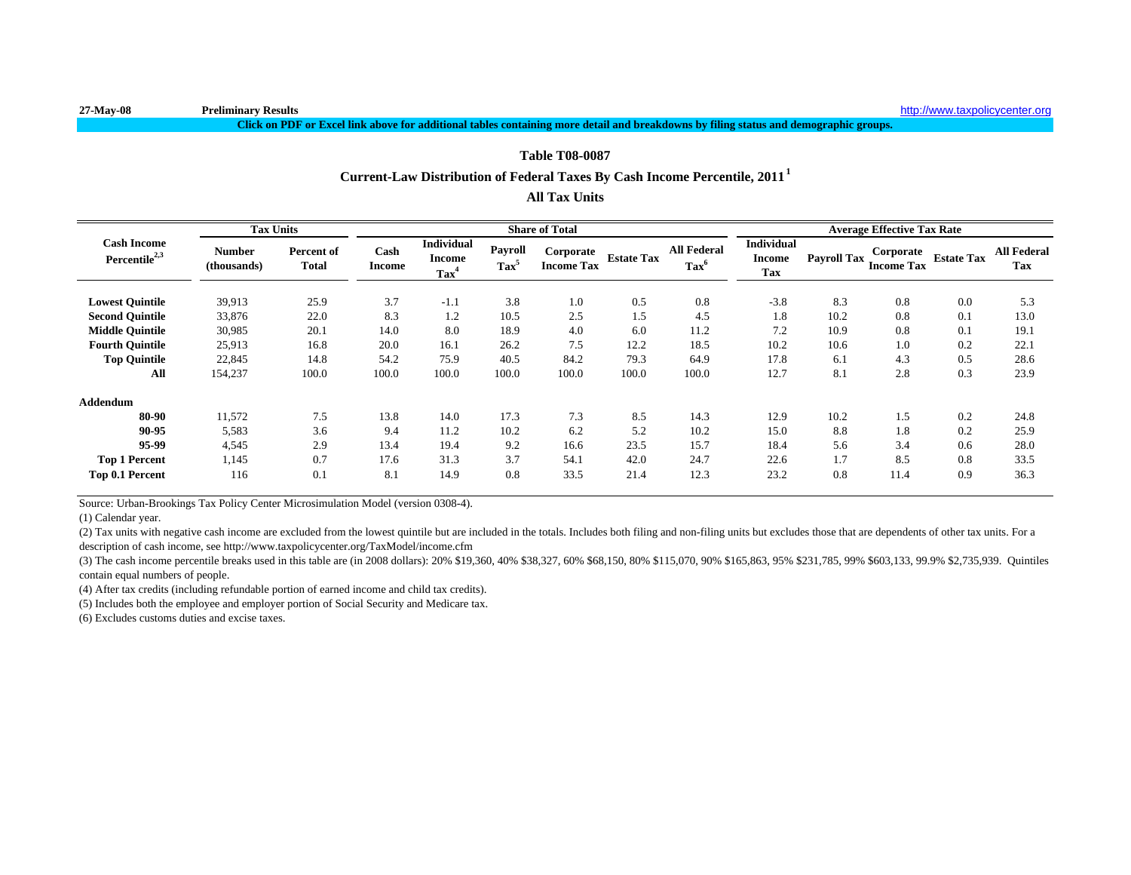#### **Click on PDF or Excel link above for additional tables containing more detail and breakdowns by filing status and demographic groups.**

#### **Table T08-0087**

# **Current-Law Distribution of Federal Taxes By Cash Income Percentile, 2011<sup>1</sup>**

## **All Tax Units**

|                                                 | <b>Tax Units</b>      |                            |                       | <b>Share of Total</b>                                  |                                  |                                |                   |                                      |                                                  |                                                            | <b>Average Effective Tax Rate</b> |                   |                                  |
|-------------------------------------------------|-----------------------|----------------------------|-----------------------|--------------------------------------------------------|----------------------------------|--------------------------------|-------------------|--------------------------------------|--------------------------------------------------|------------------------------------------------------------|-----------------------------------|-------------------|----------------------------------|
| <b>Cash Income</b><br>Percentile <sup>2,3</sup> | Number<br>(thousands) | Percent of<br><b>Total</b> | Cash<br><b>Income</b> | <b>Individual</b><br><b>Income</b><br>Tax <sup>4</sup> | <b>Payroll</b><br>$\text{Tax}^5$ | Corporate<br><b>Income Tax</b> | <b>Estate Tax</b> | <b>All Federal</b><br>$\text{Tax}^6$ | <b>Individual</b><br><b>Income</b><br><b>Tax</b> | Payroll Tax $\lim_{h \to 0} \frac{1}{h}$ Tax $\frac{1}{h}$ | Corporate                         | <b>Estate Tax</b> | <b>All Federal</b><br><b>Tax</b> |
| <b>Lowest Quintile</b>                          | 39,913                | 25.9                       | 3.7                   | $-1.1$                                                 | 3.8                              | 1.0                            | 0.5               | 0.8                                  | $-3.8$                                           | 8.3                                                        | 0.8                               | 0.0               | 5.3                              |
| <b>Second Quintile</b>                          | 33,876                | 22.0                       | 8.3                   | 1.2                                                    | 10.5                             | 2.5                            | 1.5               | 4.5                                  | 1.8                                              | 10.2                                                       | 0.8                               | 0.1               | 13.0                             |
| <b>Middle Ouintile</b>                          | 30,985                | 20.1                       | 14.0                  | 8.0                                                    | 18.9                             | 4.0                            | 6.0               | 11.2                                 | 7.2                                              | 10.9                                                       | 0.8                               | 0.1               | 19.1                             |
| <b>Fourth Quintile</b>                          | 25,913                | 16.8                       | 20.0                  | 16.1                                                   | 26.2                             | 7.5                            | 12.2              | 18.5                                 | 10.2                                             | 10.6                                                       | 1.0                               | 0.2               | 22.1                             |
| <b>Top Quintile</b>                             | 22,845                | 14.8                       | 54.2                  | 75.9                                                   | 40.5                             | 84.2                           | 79.3              | 64.9                                 | 17.8                                             | 6.1                                                        | 4.3                               | 0.5               | 28.6                             |
| All                                             | 154,237               | 100.0                      | 100.0                 | 100.0                                                  | 100.0                            | 100.0                          | 100.0             | 100.0                                | 12.7                                             | 8.1                                                        | 2.8                               | 0.3               | 23.9                             |
| <b>Addendum</b>                                 |                       |                            |                       |                                                        |                                  |                                |                   |                                      |                                                  |                                                            |                                   |                   |                                  |
| 80-90                                           | 11,572                | 7.5                        | 13.8                  | 14.0                                                   | 17.3                             | 7.3                            | 8.5               | 14.3                                 | 12.9                                             | 10.2                                                       | 1.5                               | 0.2               | 24.8                             |
| 90-95                                           | 5,583                 | 3.6                        | 9.4                   | 11.2                                                   | 10.2                             | 6.2                            | 5.2               | 10.2                                 | 15.0                                             | 8.8                                                        | 1.8                               | 0.2               | 25.9                             |
| 95-99                                           | 4,545                 | 2.9                        | 13.4                  | 19.4                                                   | 9.2                              | 16.6                           | 23.5              | 15.7                                 | 18.4                                             | 5.6                                                        | 3.4                               | 0.6               | 28.0                             |
| <b>Top 1 Percent</b>                            | 1,145                 | 0.7                        | 17.6                  | 31.3                                                   | 3.7                              | 54.1                           | 42.0              | 24.7                                 | 22.6                                             | 1.7                                                        | 8.5                               | 0.8               | 33.5                             |
| Top 0.1 Percent                                 | 116                   | 0.1                        | 8.1                   | 14.9                                                   | 0.8                              | 33.5                           | 21.4              | 12.3                                 | 23.2                                             | 0.8                                                        | 11.4                              | 0.9               | 36.3                             |

Source: Urban-Brookings Tax Policy Center Microsimulation Model (version 0308-4).

(1) Calendar year.

(2) Tax units with negative cash income are excluded from the lowest quintile but are included in the totals. Includes both filing and non-filing units but excludes those that are dependents of other tax units. For a description of cash income, see http://www.taxpolicycenter.org/TaxModel/income.cfm

(3) The cash income percentile breaks used in this table are (in 2008 dollars): 20% \$19,360, 40% \$38,327, 60% \$68,150, 80% \$115,070, 90% \$165,863, 95% \$231,785, 99% \$603,133, 99.9% \$2,735,939. Quintiles contain equal numbers of people.

(4) After tax credits (including refundable portion of earned income and child tax credits).

(5) Includes both the employee and employer portion of Social Security and Medicare tax.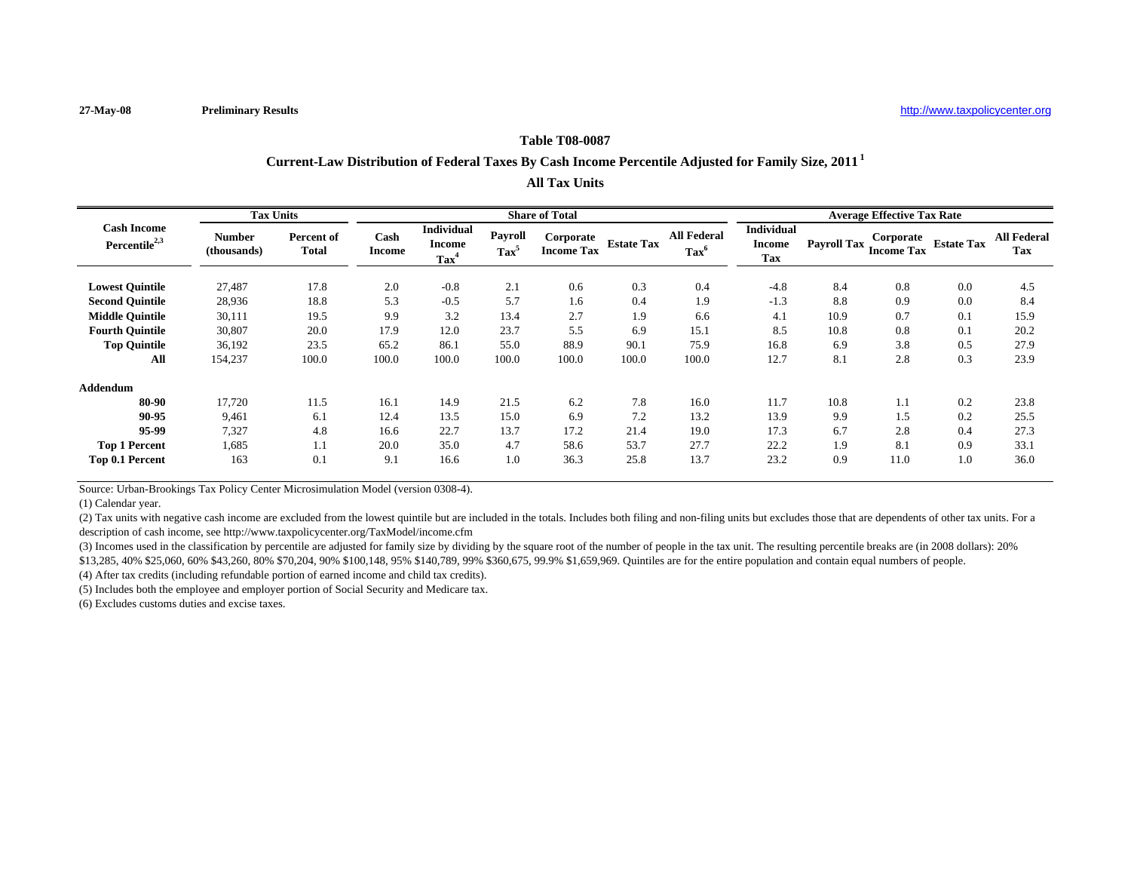## **Table T08-0087**

# **Current-Law Distribution of Federal Taxes By Cash Income Percentile Adjusted for Family Size, 2011 <sup>1</sup>**

**All Tax Units**

|                                                 | <b>Tax Units</b>             |                                   |                       |                                                        | <b>Share of Total</b>     |                                |                   |                                      | <b>Average Effective Tax Rate</b>  |                    |                                |                   |                                  |
|-------------------------------------------------|------------------------------|-----------------------------------|-----------------------|--------------------------------------------------------|---------------------------|--------------------------------|-------------------|--------------------------------------|------------------------------------|--------------------|--------------------------------|-------------------|----------------------------------|
| <b>Cash Income</b><br>Percentile <sup>2,3</sup> | <b>Number</b><br>(thousands) | <b>Percent of</b><br><b>Total</b> | Cash<br><b>Income</b> | <b>Individual</b><br><b>Income</b><br>Tax <sup>4</sup> | Payroll<br>$\text{Tax}^5$ | Corporate<br><b>Income Tax</b> | <b>Estate Tax</b> | <b>All Federal</b><br>$\text{Tax}^6$ | <b>Individual</b><br>Income<br>Tax | <b>Payroll Tax</b> | Corporate<br><b>Income Tax</b> | <b>Estate Tax</b> | <b>All Federal</b><br><b>Tax</b> |
| <b>Lowest Ouintile</b>                          | 27,487                       | 17.8                              | 2.0                   | $-0.8$                                                 | 2.1                       | 0.6                            | 0.3               | 0.4                                  | $-4.8$                             | 8.4                | 0.8                            | 0.0               | 4.5                              |
| <b>Second Ouintile</b>                          | 28,936                       | 18.8                              | 5.3                   | $-0.5$                                                 | 5.7                       | 1.6                            | 0.4               | 1.9                                  | $-1.3$                             | 8.8                | 0.9                            | 0.0               | 8.4                              |
| <b>Middle Quintile</b>                          | 30,111                       | 19.5                              | 9.9                   | 3.2                                                    | 13.4                      | 2.7                            | 1.9               | 6.6                                  | 4.1                                | 10.9               | 0.7                            | 0.1               | 15.9                             |
| <b>Fourth Quintile</b>                          | 30,807                       | 20.0                              | 17.9                  | 12.0                                                   | 23.7                      | 5.5                            | 6.9               | 15.1                                 | 8.5                                | 10.8               | 0.8                            | 0.1               | 20.2                             |
| <b>Top Quintile</b>                             | 36,192                       | 23.5                              | 65.2                  | 86.1                                                   | 55.0                      | 88.9                           | 90.1              | 75.9                                 | 16.8                               | 6.9                | 3.8                            | 0.5               | 27.9                             |
| All                                             | 154,237                      | 100.0                             | 100.0                 | 100.0                                                  | 100.0                     | 100.0                          | 100.0             | 100.0                                | 12.7                               | 8.1                | 2.8                            | 0.3               | 23.9                             |
| <b>Addendum</b>                                 |                              |                                   |                       |                                                        |                           |                                |                   |                                      |                                    |                    |                                |                   |                                  |
| 80-90                                           | 17,720                       | 11.5                              | 16.1                  | 14.9                                                   | 21.5                      | 6.2                            | 7.8               | 16.0                                 | 11.7                               | 10.8               | 1.1                            | 0.2               | 23.8                             |
| 90-95                                           | 9,461                        | 6.1                               | 12.4                  | 13.5                                                   | 15.0                      | 6.9                            | 7.2               | 13.2                                 | 13.9                               | 9.9                | 1.5                            | 0.2               | 25.5                             |
| 95-99                                           | 7,327                        | 4.8                               | 16.6                  | 22.7                                                   | 13.7                      | 17.2                           | 21.4              | 19.0                                 | 17.3                               | 6.7                | 2.8                            | 0.4               | 27.3                             |
| <b>Top 1 Percent</b>                            | 1,685                        | 1.1                               | 20.0                  | 35.0                                                   | 4.7                       | 58.6                           | 53.7              | 27.7                                 | 22.2                               | 1.9                | 8.1                            | 0.9               | 33.1                             |
| Top 0.1 Percent                                 | 163                          | 0.1                               | 9.1                   | 16.6                                                   | 1.0                       | 36.3                           | 25.8              | 13.7                                 | 23.2                               | 0.9                | 11.0                           | 1.0               | 36.0                             |

Source: Urban-Brookings Tax Policy Center Microsimulation Model (version 0308-4).

(1) Calendar year.

(2) Tax units with negative cash income are excluded from the lowest quintile but are included in the totals. Includes both filing and non-filing units but excludes those that are dependents of other tax units. For a description of cash income, see http://www.taxpolicycenter.org/TaxModel/income.cfm

(3) Incomes used in the classification by percentile are adjusted for family size by dividing by the square root of the number of people in the tax unit. The resulting percentile breaks are (in 2008 dollars): 20% \$13,285, 40% \$25,060, 60% \$43,260, 80% \$70,204, 90% \$100,148, 95% \$140,789, 99% \$360,675, 99.9% \$1,659,969. Quintiles are for the entire population and contain equal numbers of people.

(4) After tax credits (including refundable portion of earned income and child tax credits).

(5) Includes both the employee and employer portion of Social Security and Medicare tax.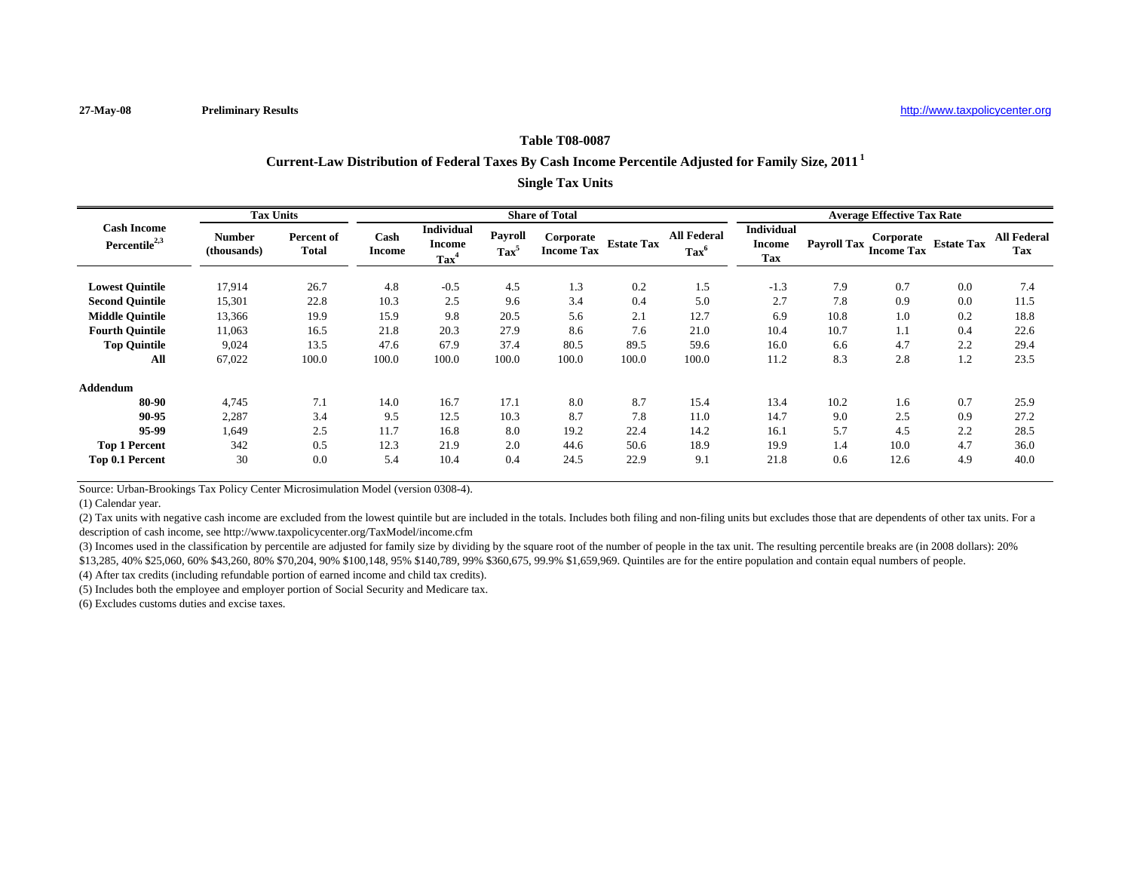## **Table T08-0087**

# **Current-Law Distribution of Federal Taxes By Cash Income Percentile Adjusted for Family Size, 2011 <sup>1</sup>**

**Single Tax Units**

|                                                 | <b>Tax Units</b>      |                            |                       |                                                      |                                  | <b>Share of Total</b>          |                   |                                      |                                                  |                    | <b>Average Effective Tax Rate</b> |                   |                                  |
|-------------------------------------------------|-----------------------|----------------------------|-----------------------|------------------------------------------------------|----------------------------------|--------------------------------|-------------------|--------------------------------------|--------------------------------------------------|--------------------|-----------------------------------|-------------------|----------------------------------|
| <b>Cash Income</b><br>Percentile <sup>2,3</sup> | Number<br>(thousands) | Percent of<br><b>Total</b> | Cash<br><b>Income</b> | <b>Individual</b><br><b>Income</b><br>$\text{Tax}^4$ | <b>Payroll</b><br>$\text{Tax}^5$ | Corporate<br><b>Income Tax</b> | <b>Estate Tax</b> | <b>All Federal</b><br>$\text{Tax}^6$ | <b>Individual</b><br><b>Income</b><br><b>Tax</b> | <b>Payroll Tax</b> | Corporate<br><b>Income Tax</b>    | <b>Estate Tax</b> | <b>All Federal</b><br><b>Tax</b> |
| <b>Lowest Quintile</b>                          | 17,914                | 26.7                       | 4.8                   | $-0.5$                                               | 4.5                              | 1.3                            | 0.2               | 1.5                                  | $-1.3$                                           | 7.9                | 0.7                               | 0.0               | 7.4                              |
| <b>Second Quintile</b>                          | 15,301                | 22.8                       | 10.3                  | 2.5                                                  | 9.6                              | 3.4                            | 0.4               | 5.0                                  | 2.7                                              | 7.8                | 0.9                               | 0.0               | 11.5                             |
| <b>Middle Ouintile</b>                          | 13,366                | 19.9                       | 15.9                  | 9.8                                                  | 20.5                             | 5.6                            | 2.1               | 12.7                                 | 6.9                                              | 10.8               | 1.0                               | 0.2               | 18.8                             |
| <b>Fourth Ouintile</b>                          | 11,063                | 16.5                       | 21.8                  | 20.3                                                 | 27.9                             | 8.6                            | 7.6               | 21.0                                 | 10.4                                             | 10.7               | 1.1                               | 0.4               | 22.6                             |
| <b>Top Quintile</b>                             | 9,024                 | 13.5                       | 47.6                  | 67.9                                                 | 37.4                             | 80.5                           | 89.5              | 59.6                                 | 16.0                                             | 6.6                | 4.7                               | 2.2               | 29.4                             |
| All                                             | 67,022                | 100.0                      | 100.0                 | 100.0                                                | 100.0                            | 100.0                          | 100.0             | 100.0                                | 11.2                                             | 8.3                | 2.8                               | 1.2               | 23.5                             |
| Addendum                                        |                       |                            |                       |                                                      |                                  |                                |                   |                                      |                                                  |                    |                                   |                   |                                  |
| 80-90                                           | 4,745                 | 7.1                        | 14.0                  | 16.7                                                 | 17.1                             | 8.0                            | 8.7               | 15.4                                 | 13.4                                             | 10.2               | 1.6                               | 0.7               | 25.9                             |
| 90-95                                           | 2,287                 | 3.4                        | 9.5                   | 12.5                                                 | 10.3                             | 8.7                            | 7.8               | 11.0                                 | 14.7                                             | 9.0                | 2.5                               | 0.9               | 27.2                             |
| 95-99                                           | 1,649                 | 2.5                        | 11.7                  | 16.8                                                 | 8.0                              | 19.2                           | 22.4              | 14.2                                 | 16.1                                             | 5.7                | 4.5                               | 2.2               | 28.5                             |
| <b>Top 1 Percent</b>                            | 342                   | 0.5                        | 12.3                  | 21.9                                                 | 2.0                              | 44.6                           | 50.6              | 18.9                                 | 19.9                                             | 1.4                | 10.0                              | 4.7               | 36.0                             |
| Top 0.1 Percent                                 | 30                    | 0.0                        | 5.4                   | 10.4                                                 | 0.4                              | 24.5                           | 22.9              | 9.1                                  | 21.8                                             | 0.6                | 12.6                              | 4.9               | 40.0                             |

Source: Urban-Brookings Tax Policy Center Microsimulation Model (version 0308-4).

(1) Calendar year.

(2) Tax units with negative cash income are excluded from the lowest quintile but are included in the totals. Includes both filing and non-filing units but excludes those that are dependents of other tax units. For a description of cash income, see http://www.taxpolicycenter.org/TaxModel/income.cfm

(3) Incomes used in the classification by percentile are adjusted for family size by dividing by the square root of the number of people in the tax unit. The resulting percentile breaks are (in 2008 dollars): 20% \$13,285, 40% \$25,060, 60% \$43,260, 80% \$70,204, 90% \$100,148, 95% \$140,789, 99% \$360,675, 99.9% \$1,659,969. Quintiles are for the entire population and contain equal numbers of people.

(4) After tax credits (including refundable portion of earned income and child tax credits).

(5) Includes both the employee and employer portion of Social Security and Medicare tax.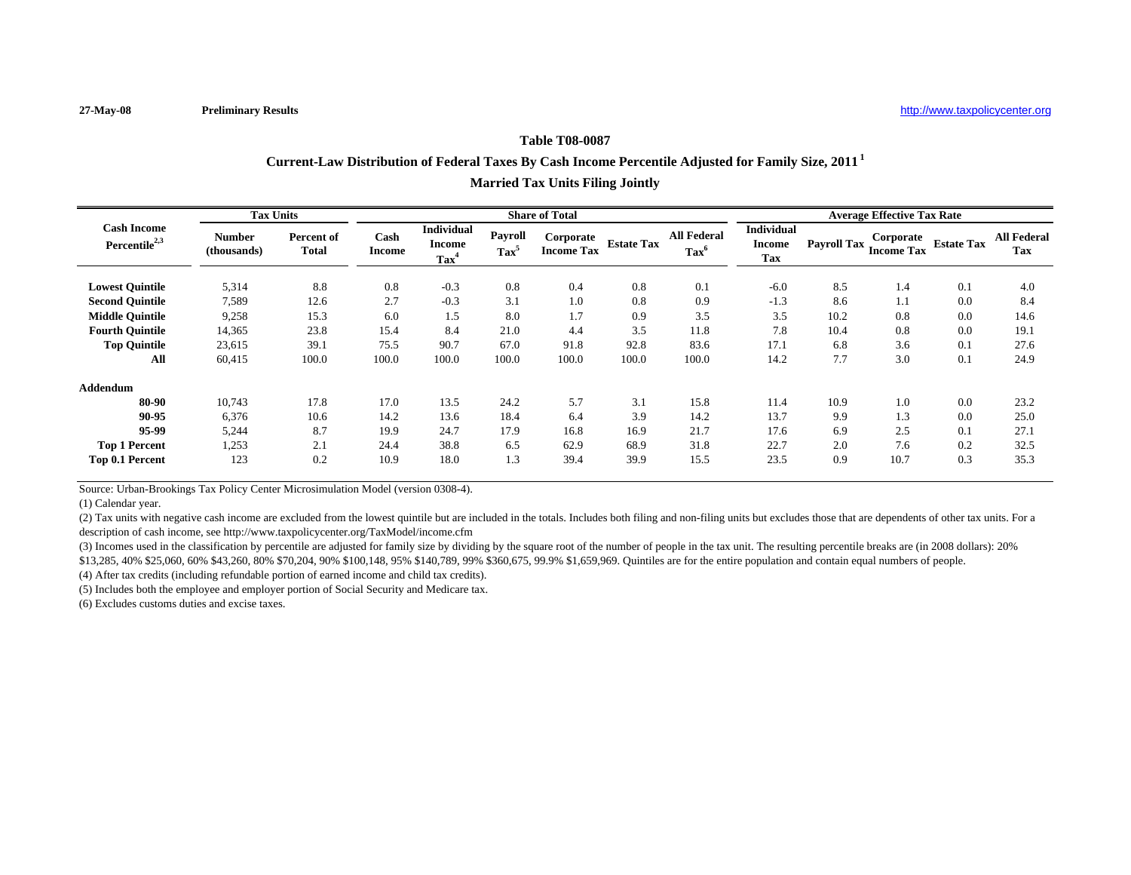## **Table T08-0087**

# **Current-Law Distribution of Federal Taxes By Cash Income Percentile Adjusted for Family Size, 2011 <sup>1</sup>**

| <b>Married Tax Units Filing Jointly</b> |  |  |  |  |
|-----------------------------------------|--|--|--|--|
|-----------------------------------------|--|--|--|--|

|                                                 | <b>Tax Units</b>             |                            |                       |                                        | <b>Share of Total</b>       |                                |                   |                                      | <b>Average Effective Tax Rate</b>                |                    |                                |                   |                           |
|-------------------------------------------------|------------------------------|----------------------------|-----------------------|----------------------------------------|-----------------------------|--------------------------------|-------------------|--------------------------------------|--------------------------------------------------|--------------------|--------------------------------|-------------------|---------------------------|
| <b>Cash Income</b><br>Percentile <sup>2,3</sup> | <b>Number</b><br>(thousands) | Percent of<br><b>Total</b> | Cash<br><b>Income</b> | Individual<br>Income<br>$\text{Tax}^4$ | Pavroll<br>Tax <sup>5</sup> | Corporate<br><b>Income Tax</b> | <b>Estate Tax</b> | <b>All Federal</b><br>$\text{Tax}^6$ | <b>Individual</b><br><b>Income</b><br><b>Tax</b> | <b>Payroll Tax</b> | Corporate<br><b>Income Tax</b> | <b>Estate Tax</b> | <b>All Federal</b><br>Tax |
| <b>Lowest Quintile</b>                          | 5,314                        | 8.8                        | 0.8                   | $-0.3$                                 | 0.8                         | 0.4                            | 0.8               | 0.1                                  | $-6.0$                                           | 8.5                | 1.4                            | 0.1               | 4.0                       |
| <b>Second Ouintile</b>                          | 7,589                        | 12.6                       | 2.7                   | $-0.3$                                 | 3.1                         | 1.0                            | 0.8               | 0.9                                  | $-1.3$                                           | 8.6                | 1.1                            | 0.0               | 8.4                       |
| <b>Middle Quintile</b>                          | 9,258                        | 15.3                       | 6.0                   | 1.5                                    | 8.0                         | 1.7                            | 0.9               | 3.5                                  | 3.5                                              | 10.2               | 0.8                            | 0.0               | 14.6                      |
| <b>Fourth Quintile</b>                          | 14,365                       | 23.8                       | 15.4                  | 8.4                                    | 21.0                        | 4.4                            | 3.5               | 11.8                                 | 7.8                                              | 10.4               | 0.8                            | 0.0               | 19.1                      |
| <b>Top Quintile</b>                             | 23,615                       | 39.1                       | 75.5                  | 90.7                                   | 67.0                        | 91.8                           | 92.8              | 83.6                                 | 17.1                                             | 6.8                | 3.6                            | 0.1               | 27.6                      |
| All                                             | 60,415                       | 100.0                      | 100.0                 | 100.0                                  | 100.0                       | 100.0                          | 100.0             | 100.0                                | 14.2                                             | 7.7                | 3.0                            | 0.1               | 24.9                      |
| <b>Addendum</b>                                 |                              |                            |                       |                                        |                             |                                |                   |                                      |                                                  |                    |                                |                   |                           |
| 80-90                                           | 10,743                       | 17.8                       | 17.0                  | 13.5                                   | 24.2                        | 5.7                            | 3.1               | 15.8                                 | 11.4                                             | 10.9               | 1.0                            | 0.0               | 23.2                      |
| 90-95                                           | 6,376                        | 10.6                       | 14.2                  | 13.6                                   | 18.4                        | 6.4                            | 3.9               | 14.2                                 | 13.7                                             | 9.9                | 1.3                            | 0.0               | 25.0                      |
| 95-99                                           | 5,244                        | 8.7                        | 19.9                  | 24.7                                   | 17.9                        | 16.8                           | 16.9              | 21.7                                 | 17.6                                             | 6.9                | 2.5                            | 0.1               | 27.1                      |
| <b>Top 1 Percent</b>                            | 1,253                        | 2.1                        | 24.4                  | 38.8                                   | 6.5                         | 62.9                           | 68.9              | 31.8                                 | 22.7                                             | 2.0                | 7.6                            | 0.2               | 32.5                      |
| Top 0.1 Percent                                 | 123                          | 0.2                        | 10.9                  | 18.0                                   | 1.3                         | 39.4                           | 39.9              | 15.5                                 | 23.5                                             | 0.9                | 10.7                           | 0.3               | 35.3                      |

Source: Urban-Brookings Tax Policy Center Microsimulation Model (version 0308-4).

(1) Calendar year.

(2) Tax units with negative cash income are excluded from the lowest quintile but are included in the totals. Includes both filing and non-filing units but excludes those that are dependents of other tax units. For a description of cash income, see http://www.taxpolicycenter.org/TaxModel/income.cfm

(3) Incomes used in the classification by percentile are adjusted for family size by dividing by the square root of the number of people in the tax unit. The resulting percentile breaks are (in 2008 dollars): 20% \$13,285, 40% \$25,060, 60% \$43,260, 80% \$70,204, 90% \$100,148, 95% \$140,789, 99% \$360,675, 99.9% \$1,659,969. Quintiles are for the entire population and contain equal numbers of people.

(4) After tax credits (including refundable portion of earned income and child tax credits).

(5) Includes both the employee and employer portion of Social Security and Medicare tax.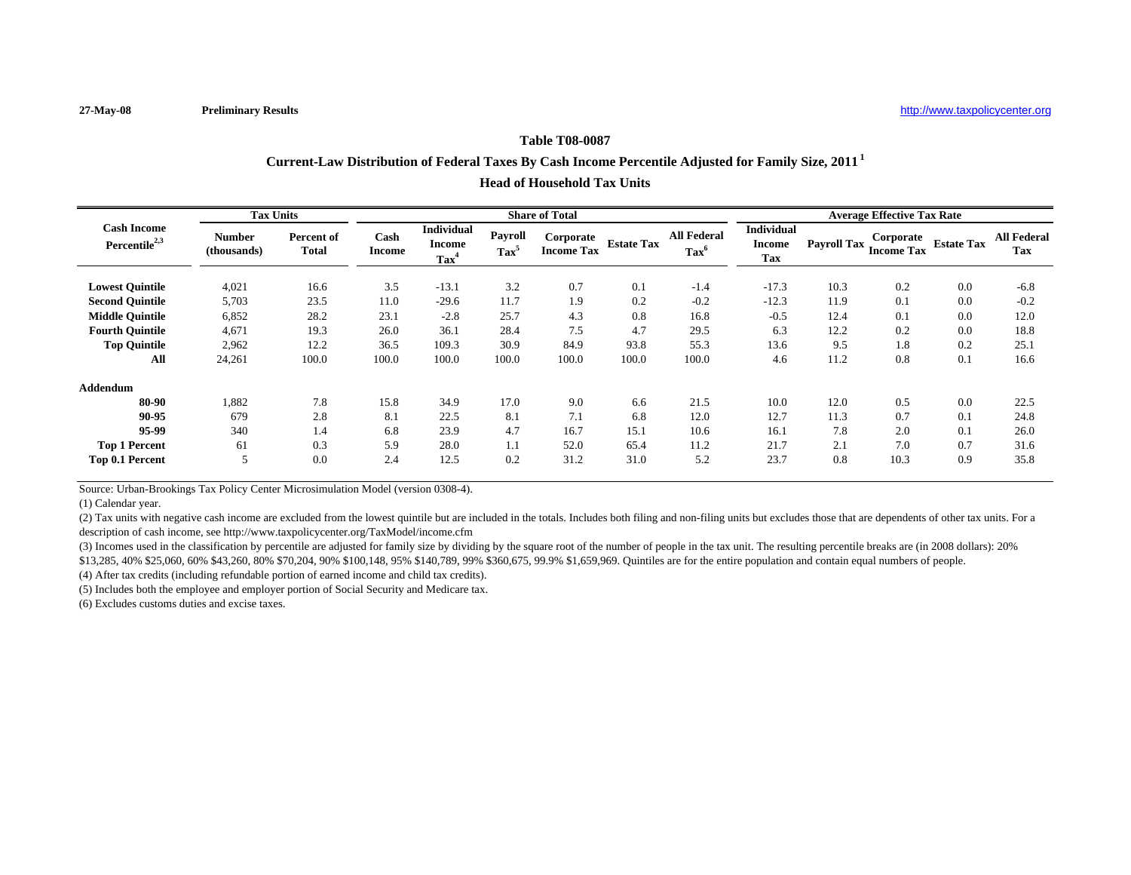## **Table T08-0087**

# **Current-Law Distribution of Federal Taxes By Cash Income Percentile Adjusted for Family Size, 2011 <sup>1</sup>**

#### **Head of Household Tax Units**

|                                                 | <b>Tax Units</b>             |                            |                       |                                                        |                           | <b>Share of Total</b>          |                   |                                      |                                                  |                    | <b>Average Effective Tax Rate</b> |                   |                                  |
|-------------------------------------------------|------------------------------|----------------------------|-----------------------|--------------------------------------------------------|---------------------------|--------------------------------|-------------------|--------------------------------------|--------------------------------------------------|--------------------|-----------------------------------|-------------------|----------------------------------|
| <b>Cash Income</b><br>Percentile <sup>2,3</sup> | <b>Number</b><br>(thousands) | Percent of<br><b>Total</b> | Cash<br><b>Income</b> | <b>Individual</b><br><b>Income</b><br>Tax <sup>4</sup> | Payroll<br>$\text{Tax}^5$ | Corporate<br><b>Income Tax</b> | <b>Estate Tax</b> | <b>All Federal</b><br>$\text{Tax}^6$ | <b>Individual</b><br><b>Income</b><br><b>Tax</b> | <b>Payroll Tax</b> | Corporate<br><b>Income Tax</b>    | <b>Estate Tax</b> | <b>All Federal</b><br><b>Tax</b> |
| <b>Lowest Ouintile</b>                          | 4,021                        | 16.6                       | 3.5                   | $-13.1$                                                | 3.2                       | 0.7                            | 0.1               | $-1.4$                               | $-17.3$                                          | 10.3               | 0.2                               | 0.0               | $-6.8$                           |
| <b>Second Quintile</b>                          | 5,703                        | 23.5                       | 11.0                  | $-29.6$                                                | 11.7                      | 1.9                            | 0.2               | $-0.2$                               | $-12.3$                                          | 11.9               | 0.1                               | 0.0               | $-0.2$                           |
| <b>Middle Quintile</b>                          | 6,852                        | 28.2                       | 23.1                  | $-2.8$                                                 | 25.7                      | 4.3                            | 0.8               | 16.8                                 | $-0.5$                                           | 12.4               | 0.1                               | 0.0               | 12.0                             |
| <b>Fourth Quintile</b>                          | 4,671                        | 19.3                       | 26.0                  | 36.1                                                   | 28.4                      | 7.5                            | 4.7               | 29.5                                 | 6.3                                              | 12.2               | 0.2                               | 0.0               | 18.8                             |
| <b>Top Quintile</b>                             | 2,962                        | 12.2                       | 36.5                  | 109.3                                                  | 30.9                      | 84.9                           | 93.8              | 55.3                                 | 13.6                                             | 9.5                | 1.8                               | 0.2               | 25.1                             |
| All                                             | 24,261                       | 100.0                      | 100.0                 | 100.0                                                  | 100.0                     | 100.0                          | 100.0             | 100.0                                | 4.6                                              | 11.2               | 0.8                               | 0.1               | 16.6                             |
| <b>Addendum</b>                                 |                              |                            |                       |                                                        |                           |                                |                   |                                      |                                                  |                    |                                   |                   |                                  |
| 80-90                                           | 1,882                        | 7.8                        | 15.8                  | 34.9                                                   | 17.0                      | 9.0                            | 6.6               | 21.5                                 | 10.0                                             | 12.0               | 0.5                               | 0.0               | 22.5                             |
| 90-95                                           | 679                          | 2.8                        | 8.1                   | 22.5                                                   | 8.1                       | 7.1                            | 6.8               | 12.0                                 | 12.7                                             | 11.3               | 0.7                               | 0.1               | 24.8                             |
| 95-99                                           | 340                          | 1.4                        | 6.8                   | 23.9                                                   | 4.7                       | 16.7                           | 15.1              | 10.6                                 | 16.1                                             | 7.8                | 2.0                               | 0.1               | 26.0                             |
| <b>Top 1 Percent</b>                            | 61                           | 0.3                        | 5.9                   | 28.0                                                   | 1.1                       | 52.0                           | 65.4              | 11.2                                 | 21.7                                             | 2.1                | 7.0                               | 0.7               | 31.6                             |
| Top 0.1 Percent                                 |                              | 0.0                        | 2.4                   | 12.5                                                   | 0.2                       | 31.2                           | 31.0              | 5.2                                  | 23.7                                             | 0.8                | 10.3                              | 0.9               | 35.8                             |

Source: Urban-Brookings Tax Policy Center Microsimulation Model (version 0308-4).

(1) Calendar year.

(2) Tax units with negative cash income are excluded from the lowest quintile but are included in the totals. Includes both filing and non-filing units but excludes those that are dependents of other tax units. For a description of cash income, see http://www.taxpolicycenter.org/TaxModel/income.cfm

(3) Incomes used in the classification by percentile are adjusted for family size by dividing by the square root of the number of people in the tax unit. The resulting percentile breaks are (in 2008 dollars): 20% \$13,285, 40% \$25,060, 60% \$43,260, 80% \$70,204, 90% \$100,148, 95% \$140,789, 99% \$360,675, 99.9% \$1,659,969. Quintiles are for the entire population and contain equal numbers of people.

(4) After tax credits (including refundable portion of earned income and child tax credits).

(5) Includes both the employee and employer portion of Social Security and Medicare tax.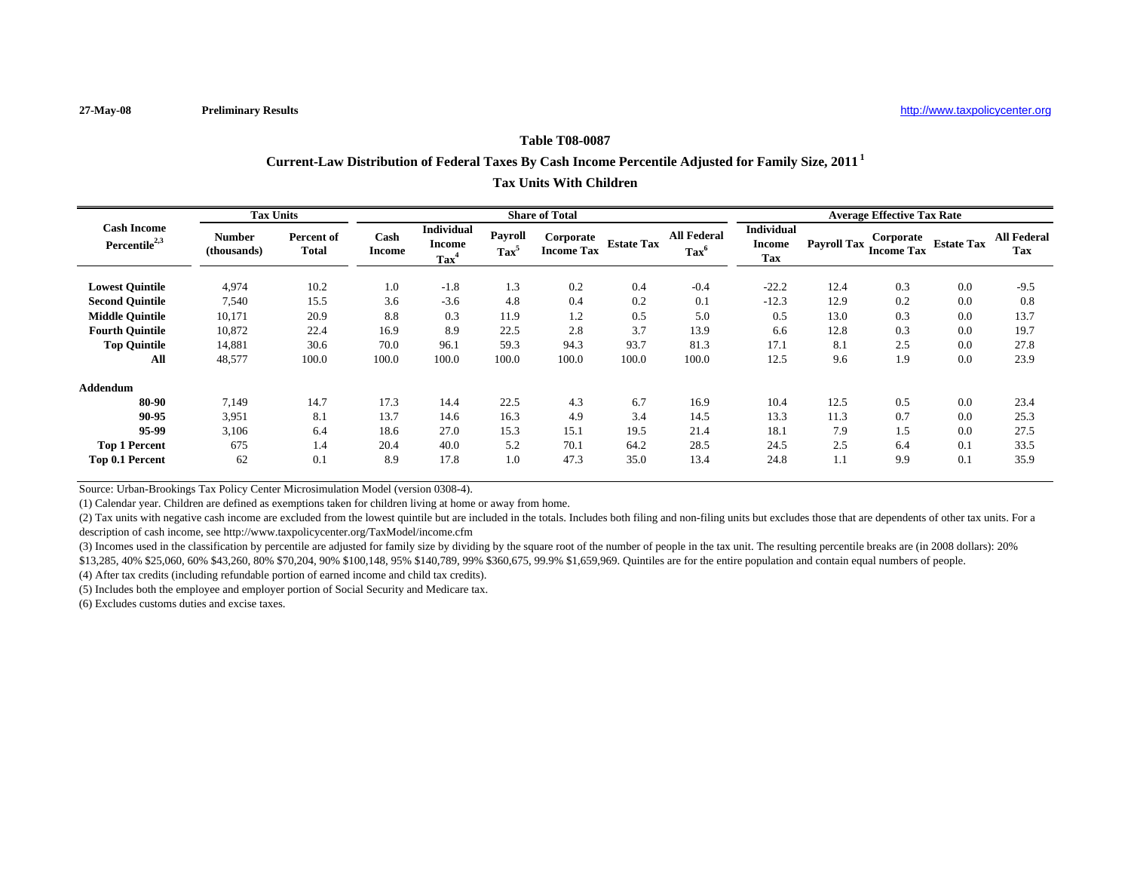## **Table T08-0087**

## **Current-Law Distribution of Federal Taxes By Cash Income Percentile Adjusted for Family Size, 2011 <sup>1</sup>**

## **Tax Units With Children**

|                                                 | <b>Tax Units</b>             |                                   |                       |                                               |                           | <b>Share of Total</b>          |                   |                                      |                                                  |                    | <b>Average Effective Tax Rate</b> |                   |                                  |
|-------------------------------------------------|------------------------------|-----------------------------------|-----------------------|-----------------------------------------------|---------------------------|--------------------------------|-------------------|--------------------------------------|--------------------------------------------------|--------------------|-----------------------------------|-------------------|----------------------------------|
| <b>Cash Income</b><br>Percentile <sup>2,3</sup> | <b>Number</b><br>(thousands) | <b>Percent of</b><br><b>Total</b> | Cash<br><b>Income</b> | <b>Individual</b><br>Income<br>$\text{Tax}^4$ | Payroll<br>$\text{Tax}^5$ | Corporate<br><b>Income Tax</b> | <b>Estate Tax</b> | <b>All Federal</b><br>$\text{Tax}^6$ | <b>Individual</b><br><b>Income</b><br><b>Tax</b> | <b>Payroll Tax</b> | Corporate<br><b>Income Tax</b>    | <b>Estate Tax</b> | <b>All Federal</b><br><b>Tax</b> |
| <b>Lowest Quintile</b>                          | 4,974                        | 10.2                              | 1.0                   | $-1.8$                                        | 1.3                       | 0.2                            | 0.4               | $-0.4$                               | $-22.2$                                          | 12.4               | 0.3                               | 0.0               | $-9.5$                           |
| <b>Second Ouintile</b>                          | 7,540                        | 15.5                              | 3.6                   | $-3.6$                                        | 4.8                       | 0.4                            | 0.2               | 0.1                                  | $-12.3$                                          | 12.9               | 0.2                               | 0.0               | 0.8                              |
| <b>Middle Quintile</b>                          | 10,171                       | 20.9                              | 8.8                   | 0.3                                           | 11.9                      | 1.2                            | 0.5               | 5.0                                  | 0.5                                              | 13.0               | 0.3                               | 0.0               | 13.7                             |
| <b>Fourth Quintile</b>                          | 10,872                       | 22.4                              | 16.9                  | 8.9                                           | 22.5                      | 2.8                            | 3.7               | 13.9                                 | 6.6                                              | 12.8               | 0.3                               | 0.0               | 19.7                             |
| <b>Top Quintile</b>                             | 14,881                       | 30.6                              | 70.0                  | 96.1                                          | 59.3                      | 94.3                           | 93.7              | 81.3                                 | 17.1                                             | 8.1                | 2.5                               | 0.0               | 27.8                             |
| All                                             | 48,577                       | 100.0                             | 100.0                 | 100.0                                         | 100.0                     | 100.0                          | 100.0             | 100.0                                | 12.5                                             | 9.6                | 1.9                               | 0.0               | 23.9                             |
| <b>Addendum</b>                                 |                              |                                   |                       |                                               |                           |                                |                   |                                      |                                                  |                    |                                   |                   |                                  |
| 80-90                                           | 7,149                        | 14.7                              | 17.3                  | 14.4                                          | 22.5                      | 4.3                            | 6.7               | 16.9                                 | 10.4                                             | 12.5               | 0.5                               | 0.0               | 23.4                             |
| 90-95                                           | 3.951                        | 8.1                               | 13.7                  | 14.6                                          | 16.3                      | 4.9                            | 3.4               | 14.5                                 | 13.3                                             | 11.3               | 0.7                               | 0.0               | 25.3                             |
| 95-99                                           | 3,106                        | 6.4                               | 18.6                  | 27.0                                          | 15.3                      | 15.1                           | 19.5              | 21.4                                 | 18.1                                             | 7.9                | 1.5                               | 0.0               | 27.5                             |
| <b>Top 1 Percent</b>                            | 675                          | 1.4                               | 20.4                  | 40.0                                          | 5.2                       | 70.1                           | 64.2              | 28.5                                 | 24.5                                             | 2.5                | 6.4                               | 0.1               | 33.5                             |
| Top 0.1 Percent                                 | 62                           | 0.1                               | 8.9                   | 17.8                                          | 1.0                       | 47.3                           | 35.0              | 13.4                                 | 24.8                                             | 1.1                | 9.9                               | 0.1               | 35.9                             |

Source: Urban-Brookings Tax Policy Center Microsimulation Model (version 0308-4).

(1) Calendar year. Children are defined as exemptions taken for children living at home or away from home.

(2) Tax units with negative cash income are excluded from the lowest quintile but are included in the totals. Includes both filing and non-filing units but excludes those that are dependents of other tax units. For a description of cash income, see http://www.taxpolicycenter.org/TaxModel/income.cfm

(3) Incomes used in the classification by percentile are adjusted for family size by dividing by the square root of the number of people in the tax unit. The resulting percentile breaks are (in 2008 dollars): 20% \$13,285, 40% \$25,060, 60% \$43,260, 80% \$70,204, 90% \$100,148, 95% \$140,789, 99% \$360,675, 99.9% \$1,659,969. Quintiles are for the entire population and contain equal numbers of people.

(4) After tax credits (including refundable portion of earned income and child tax credits).

(5) Includes both the employee and employer portion of Social Security and Medicare tax.